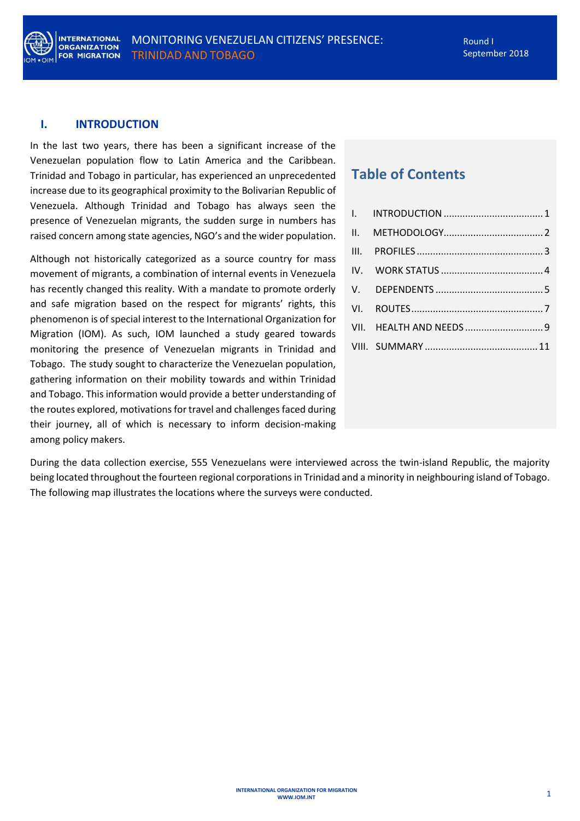

#### <span id="page-0-0"></span>**I. INTRODUCTION**

In the last two years, there has been a significant increase of the Venezuelan population flow to Latin America and the Caribbean. Trinidad and Tobago in particular, has experienced an unprecedented increase due to its geographical proximity to the Bolivarian Republic of Venezuela. Although Trinidad and Tobago has always seen the presence of Venezuelan migrants, the sudden surge in numbers has raised concern among state agencies, NGO's and the wider population.

Although not historically categorized as a source country for mass movement of migrants, a combination of internal events in Venezuela has recently changed this reality. With a mandate to promote orderly and safe migration based on the respect for migrants' rights, this phenomenon is of special interest to the International Organization for Migration (IOM). As such, IOM launched a study geared towards monitoring the presence of Venezuelan migrants in Trinidad and Tobago. The study sought to characterize the Venezuelan population, gathering information on their mobility towards and within Trinidad and Tobago. This information would provide a better understanding of the routes explored, motivations for travel and challenges faced during their journey, all of which is necessary to inform decision-making among policy makers.

# **Table of Contents**

| VII. HEALTH AND NEEDS 9 |  |
|-------------------------|--|
|                         |  |
|                         |  |

During the data collection exercise, 555 Venezuelans were interviewed across the twin-island Republic, the majority being located throughout the fourteen regional corporations in Trinidad and a minority in neighbouring island of Tobago. The following map illustrates the locations where the surveys were conducted.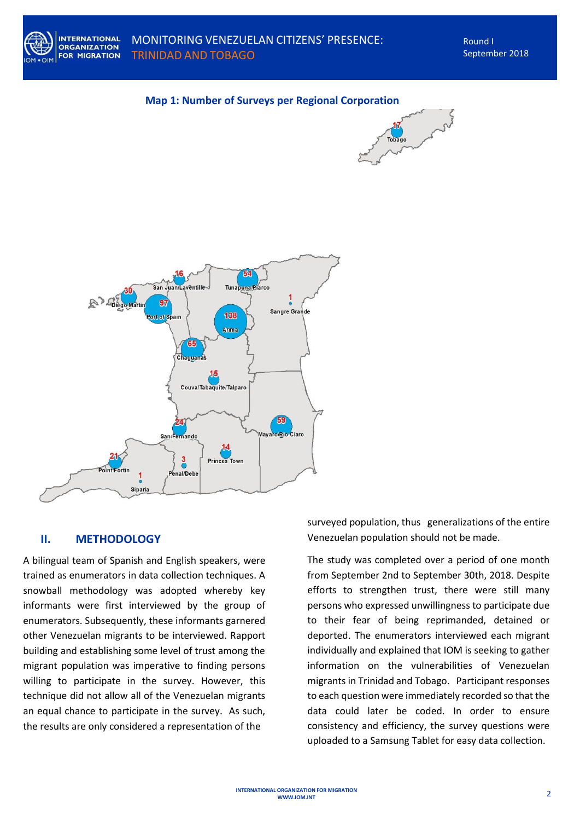







## <span id="page-1-0"></span>**II. METHODOLOGY**

A bilingual team of Spanish and English speakers, were trained as enumerators in data collection techniques. A snowball methodology was adopted whereby key informants were first interviewed by the group of enumerators. Subsequently, these informants garnered other Venezuelan migrants to be interviewed. Rapport building and establishing some level of trust among the migrant population was imperative to finding persons willing to participate in the survey. However, this technique did not allow all of the Venezuelan migrants an equal chance to participate in the survey. As such, the results are only considered a representation of the

surveyed population, thus generalizations of the entire Venezuelan population should not be made.

The study was completed over a period of one month from September 2nd to September 30th, 2018. Despite efforts to strengthen trust, there were still many persons who expressed unwillingness to participate due to their fear of being reprimanded, detained or deported. The enumerators interviewed each migrant individually and explained that IOM is seeking to gather information on the vulnerabilities of Venezuelan migrants in Trinidad and Tobago. Participant responses to each question were immediately recorded so that the data could later be coded. In order to ensure consistency and efficiency, the survey questions were uploaded to a Samsung Tablet for easy data collection.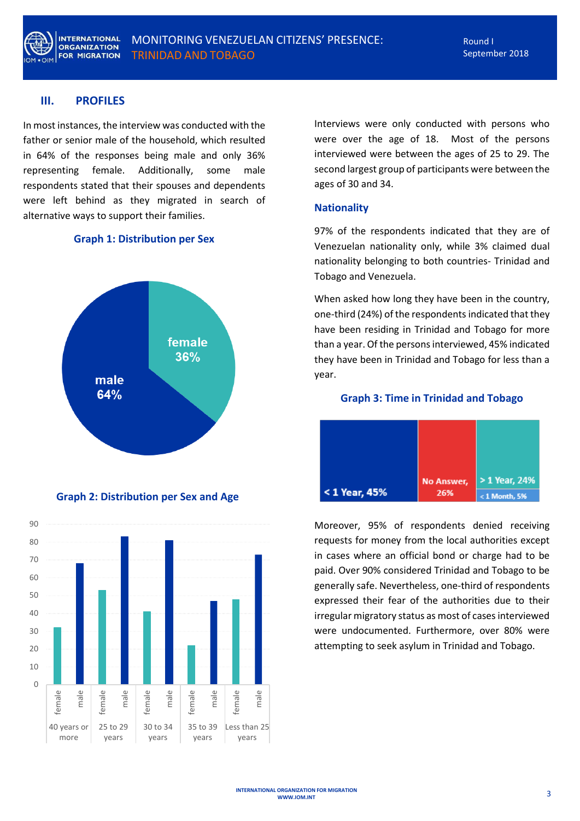

## <span id="page-2-0"></span>**III. PROFILES**

In most instances, the interview was conducted with the father or senior male of the household, which resulted in 64% of the responses being male and only 36% representing female. Additionally, some male respondents stated that their spouses and dependents were left behind as they migrated in search of alternative ways to support their families.

## **Graph 1: Distribution per Sex**



**Graph 2: Distribution per Sex and Age**



Interviews were only conducted with persons who were over the age of 18. Most of the persons interviewed were between the ages of 25 to 29. The second largest group of participants were between the ages of 30 and 34.

#### **Nationality**

97% of the respondents indicated that they are of Venezuelan nationality only, while 3% claimed dual nationality belonging to both countries- Trinidad and Tobago and Venezuela.

When asked how long they have been in the country, one-third (24%) of the respondents indicated that they have been residing in Trinidad and Tobago for more than a year. Of the persons interviewed, 45% indicated they have been in Trinidad and Tobago for less than a year.

#### **Graph 3: Time in Trinidad and Tobago**



Moreover, 95% of respondents denied receiving requests for money from the local authorities except in cases where an official bond or charge had to be paid. Over 90% considered Trinidad and Tobago to be generally safe. Nevertheless, one-third of respondents expressed their fear of the authorities due to their irregular migratory status as most of cases interviewed were undocumented. Furthermore, over 80% were attempting to seek asylum in Trinidad and Tobago.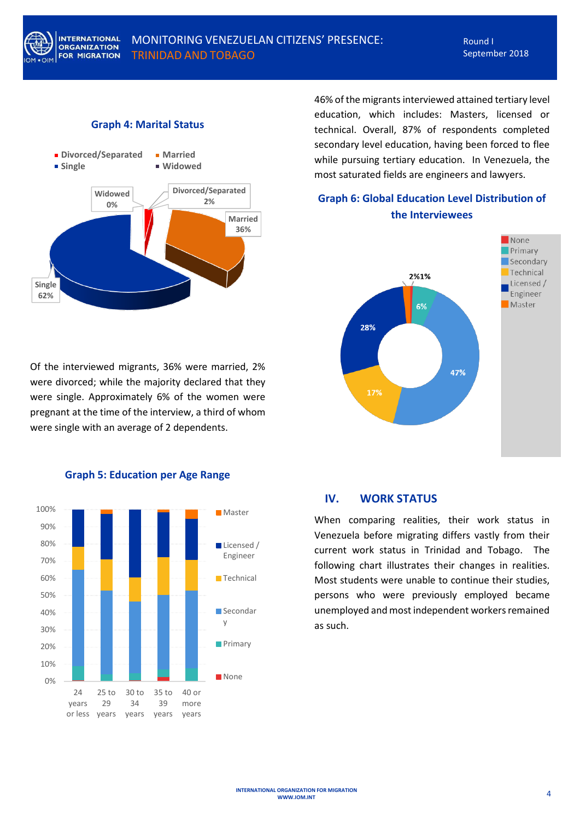

## MONITORING VENEZUELAN CITIZENS' PRESENCE: TRINIDAD AND TOBAGO

#### **Graph 4: Marital Status**



Of the interviewed migrants, 36% were married, 2% were divorced; while the majority declared that they were single. Approximately 6% of the women were pregnant at the time of the interview, a third of whom were single with an average of 2 dependents.



**Graph 5: Education per Age Range**

46% of the migrants interviewed attained tertiary level education, which includes: Masters, licensed or technical. Overall, 87% of respondents completed secondary level education, having been forced to flee while pursuing tertiary education. In Venezuela, the most saturated fields are engineers and lawyers.

## **Graph 6: Global Education Level Distribution of the Interviewees**



#### <span id="page-3-0"></span>**IV. WORK STATUS**

When comparing realities, their work status in Venezuela before migrating differs vastly from their current work status in Trinidad and Tobago. The following chart illustrates their changes in realities. Most students were unable to continue their studies, persons who were previously employed became unemployed and most independent workers remained as such.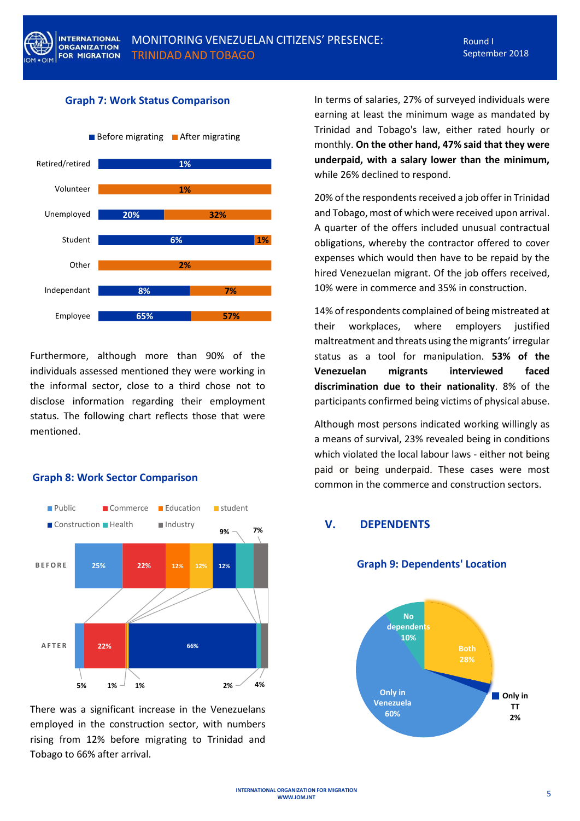# MONITORING VENEZUELAN CITIZENS' PRESENCE: TRINIDAD AND TOBAGO

#### **Graph 7: Work Status Comparison**



Furthermore, although more than 90% of the individuals assessed mentioned they were working in the informal sector, close to a third chose not to disclose information regarding their employment status. The following chart reflects those that were mentioned.

## **Graph 8: Work Sector Comparison**



There was a significant increase in the Venezuelans employed in the construction sector, with numbers rising from 12% before migrating to Trinidad and Tobago to 66% after arrival.

In terms of salaries, 27% of surveyed individuals were earning at least the minimum wage as mandated by Trinidad and Tobago's law, either rated hourly or monthly. **On the other hand, 47% said that they were underpaid, with a salary lower than the minimum,** while 26% declined to respond.

20% of the respondents received a job offer in Trinidad and Tobago, most of which were received upon arrival. A quarter of the offers included unusual contractual obligations, whereby the contractor offered to cover expenses which would then have to be repaid by the hired Venezuelan migrant. Of the job offers received, 10% were in commerce and 35% in construction.

14% of respondents complained of being mistreated at their workplaces, where employers justified maltreatment and threats using the migrants' irregular status as a tool for manipulation. **53% of the Venezuelan migrants interviewed faced discrimination due to their nationality**. 8% of the participants confirmed being victims of physical abuse.

Although most persons indicated working willingly as a means of survival, 23% revealed being in conditions which violated the local labour laws - either not being paid or being underpaid. These cases were most common in the commerce and construction sectors.

## <span id="page-4-0"></span>**V. DEPENDENTS**

#### **Graph 9: Dependents' Location**

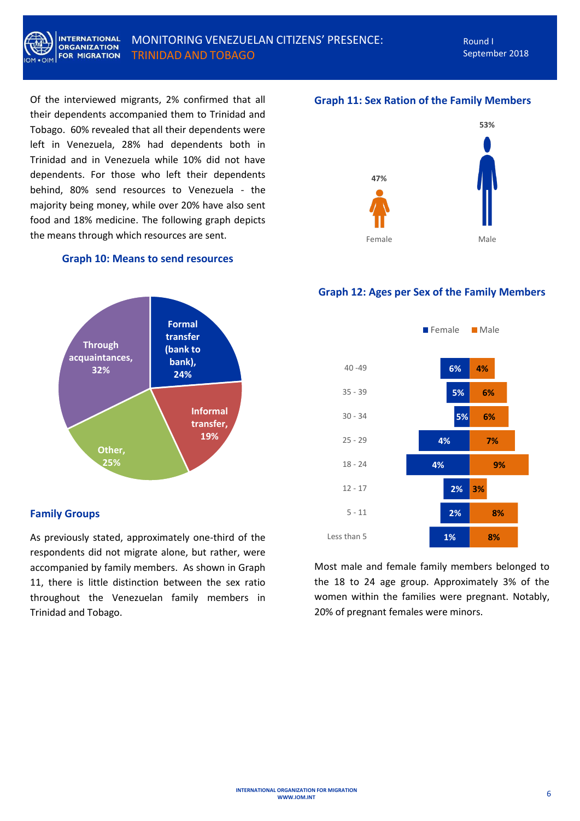

Of the interviewed migrants, 2% confirmed that all their dependents accompanied them to Trinidad and Tobago. 60% revealed that all their dependents were left in Venezuela, 28% had dependents both in Trinidad and in Venezuela while 10% did not have dependents. For those who left their dependents behind, 80% send resources to Venezuela - the majority being money, while over 20% have also sent food and 18% medicine. The following graph depicts the means through which resources are sent.

#### **Graph 10: Means to send resources**



## **Family Groups**

As previously stated, approximately one-third of the respondents did not migrate alone, but rather, were accompanied by family members. As shown in Graph 11, there is little distinction between the sex ratio throughout the Venezuelan family members in Trinidad and Tobago.

## **Graph 11: Sex Ration of the Family Members**



#### **Graph 12: Ages per Sex of the Family Members**



Most male and female family members belonged to the 18 to 24 age group. Approximately 3% of the women within the families were pregnant. Notably, 20% of pregnant females were minors.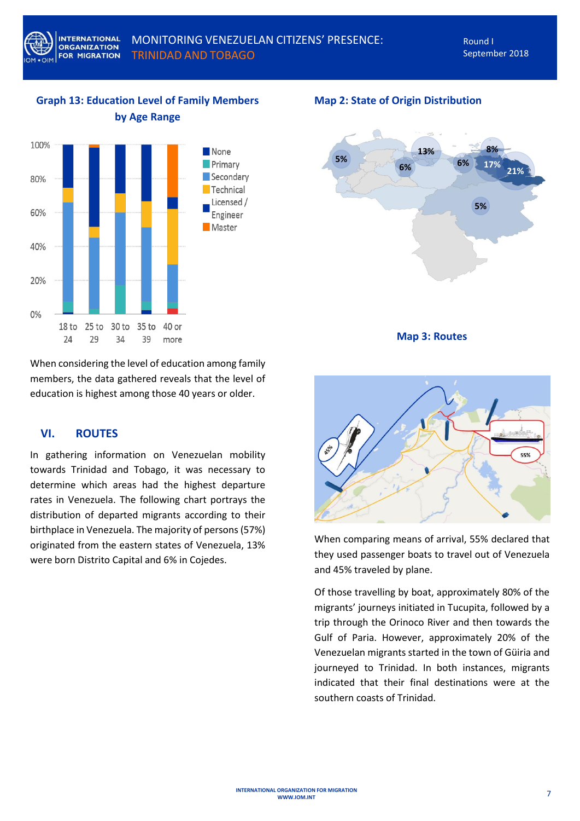# **Graph 13: Education Level of Family Members by Age Range**



#### **Map 2: State of Origin Distribution**



**Map 3: Routes**

When considering the level of education among family members, the data gathered reveals that the level of education is highest among those 40 years or older.

## <span id="page-6-0"></span>**VI. ROUTES**

In gathering information on Venezuelan mobility towards Trinidad and Tobago, it was necessary to determine which areas had the highest departure rates in Venezuela. The following chart portrays the distribution of departed migrants according to their birthplace in Venezuela. The majority of persons (57%) originated from the eastern states of Venezuela, 13% were born Distrito Capital and 6% in Cojedes.



When comparing means of arrival, 55% declared that they used passenger boats to travel out of Venezuela and 45% traveled by plane.

Of those travelling by boat, approximately 80% of the migrants' journeys initiated in Tucupita, followed by a trip through the Orinoco River and then towards the Gulf of Paria. However, approximately 20% of the Venezuelan migrants started in the town of Güiria and journeyed to Trinidad. In both instances, migrants indicated that their final destinations were at the southern coasts of Trinidad.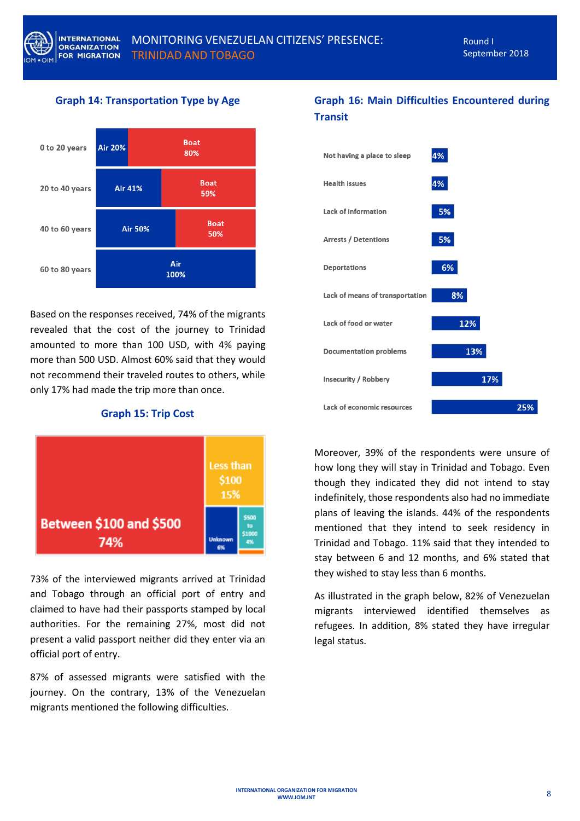## **Graph 14: Transportation Type by Age**



Based on the responses received, 74% of the migrants revealed that the cost of the journey to Trinidad amounted to more than 100 USD, with 4% paying more than 500 USD. Almost 60% said that they would not recommend their traveled routes to others, while only 17% had made the trip more than once.

**Graph 15: Trip Cost**



73% of the interviewed migrants arrived at Trinidad and Tobago through an official port of entry and claimed to have had their passports stamped by local authorities. For the remaining 27%, most did not present a valid passport neither did they enter via an official port of entry.

87% of assessed migrants were satisfied with the journey. On the contrary, 13% of the Venezuelan migrants mentioned the following difficulties.

# **Graph 16: Main Difficulties Encountered during Transit**



Moreover, 39% of the respondents were unsure of how long they will stay in Trinidad and Tobago. Even though they indicated they did not intend to stay indefinitely, those respondents also had no immediate plans of leaving the islands. 44% of the respondents mentioned that they intend to seek residency in Trinidad and Tobago. 11% said that they intended to stay between 6 and 12 months, and 6% stated that they wished to stay less than 6 months.

As illustrated in the graph below, 82% of Venezuelan migrants interviewed identified themselves as refugees. In addition, 8% stated they have irregular legal status.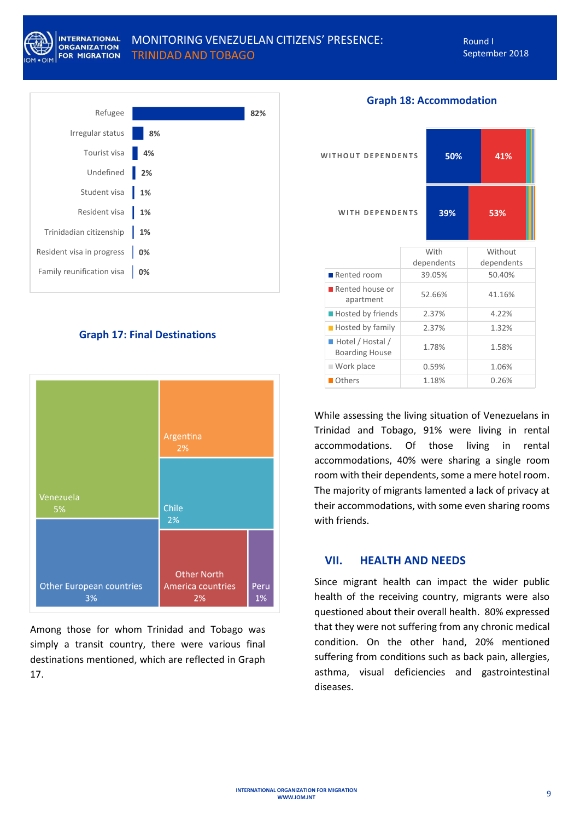

## MONITORING VENEZUELAN CITIZENS' PRESENCE: TRINIDAD AND TOBAGO

Round I September 2018



## **Graph 17: Final Destinations**



Among those for whom Trinidad and Tobago was simply a transit country, there were various final destinations mentioned, which are reflected in Graph 17.

| <b>WITHOUT DEPENDENTS</b>                 |        | 50%                | 41%                   |  |
|-------------------------------------------|--------|--------------------|-----------------------|--|
| <b>WITH DEPENDENTS</b>                    |        | 39%                | 53%                   |  |
|                                           |        | With<br>dependents | Without<br>dependents |  |
| Rented room                               |        | 39.05%             | 50.40%                |  |
| Rented house or<br>apartment              | 52.66% |                    | 41.16%                |  |
| <b>Hosted by friends</b>                  | 2.37%  |                    | 4.22%                 |  |
| <b>Hosted by family</b>                   |        | 2.37%              | 1.32%                 |  |
| Hotel / Hostal /<br><b>Boarding House</b> | 1.78%  |                    | 1.58%                 |  |
| Work place                                | 0.59%  |                    | 1.06%                 |  |
| Others                                    |        | 1.18%              | 0.26%                 |  |

**Graph 18: Accommodation**

While assessing the living situation of Venezuelans in Trinidad and Tobago, 91% were living in rental accommodations. Of those living in rental accommodations, 40% were sharing a single room room with their dependents, some a mere hotel room. The majority of migrants lamented a lack of privacy at their accommodations, with some even sharing rooms with friends.

#### <span id="page-8-0"></span>**VII. HEALTH AND NEEDS**

Since migrant health can impact the wider public health of the receiving country, migrants were also questioned about their overall health. 80% expressed that they were not suffering from any chronic medical condition. On the other hand, 20% mentioned suffering from conditions such as back pain, allergies, asthma, visual deficiencies and gastrointestinal diseases.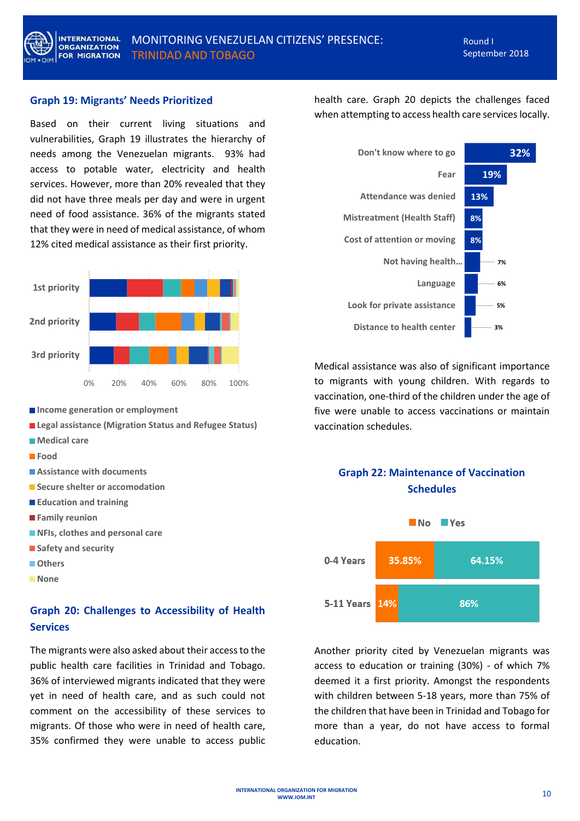

#### **Graph 19: Migrants' Needs Prioritized**

Based on their current living situations and vulnerabilities, Graph 19 illustrates the hierarchy of needs among the Venezuelan migrants. 93% had access to potable water, electricity and health services. However, more than 20% revealed that they did not have three meals per day and were in urgent need of food assistance. 36% of the migrants stated that they were in need of medical assistance, of whom 12% cited medical assistance as their first priority.



- $\blacksquare$  Income generation or employment
- **Legal assistance (Migration Status and Refugee Status)**
- **Medical care**
- **Food**
- **Assistance with documents**
- **Secure shelter or accomodation**
- **Education and training**
- **Family reunion**
- **NFIs, clothes and personal care**
- **Safety and security**
- **Others**
- **None**

## **Graph 20: Challenges to Accessibility of Health Services**

The migrants were also asked about their access to the public health care facilities in Trinidad and Tobago. 36% of interviewed migrants indicated that they were yet in need of health care, and as such could not comment on the accessibility of these services to migrants. Of those who were in need of health care, 35% confirmed they were unable to access public

health care. Graph 20 depicts the challenges faced when attempting to access health care services locally.



Medical assistance was also of significant importance to migrants with young children. With regards to vaccination, one-third of the children under the age of five were unable to access vaccinations or maintain vaccination schedules.

## **Graph 22: Maintenance of Vaccination Schedules**



Another priority cited by Venezuelan migrants was access to education or training (30%) - of which 7% deemed it a first priority. Amongst the respondents with children between 5-18 years, more than 75% of the children that have been in Trinidad and Tobago for more than a year, do not have access to formal education.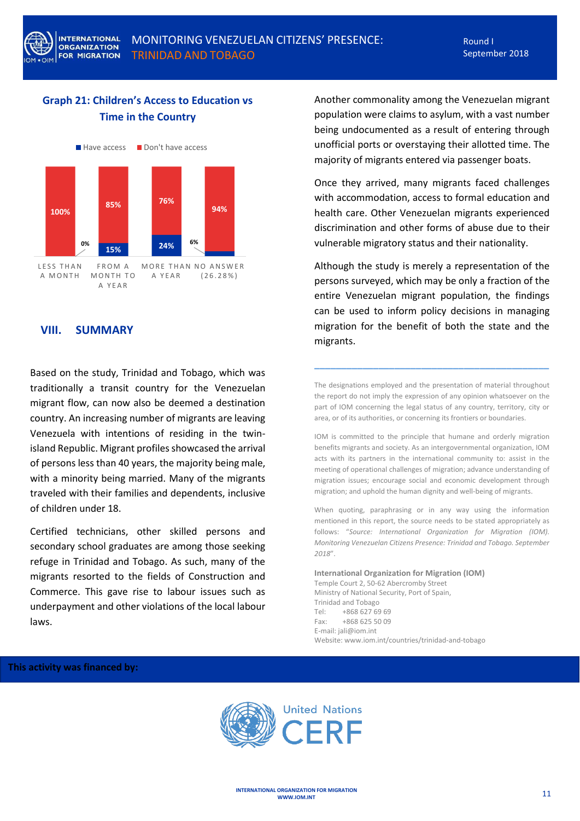# **Graph 21: Children's Access to Education vs Time in the Country**



## <span id="page-10-0"></span>**VIII. SUMMARY**

Based on the study, Trinidad and Tobago, which was traditionally a transit country for the Venezuelan migrant flow, can now also be deemed a destination country. An increasing number of migrants are leaving Venezuela with intentions of residing in the twinisland Republic. Migrant profiles showcased the arrival of persons less than 40 years, the majority being male, with a minority being married. Many of the migrants traveled with their families and dependents, inclusive of children under 18.

Certified technicians, other skilled persons and secondary school graduates are among those seeking refuge in Trinidad and Tobago. As such, many of the migrants resorted to the fields of Construction and Commerce. This gave rise to labour issues such as underpayment and other violations of the local labour laws.

Another commonality among the Venezuelan migrant population were claims to asylum, with a vast number being undocumented as a result of entering through unofficial ports or overstaying their allotted time. The majority of migrants entered via passenger boats.

Once they arrived, many migrants faced challenges with accommodation, access to formal education and health care. Other Venezuelan migrants experienced discrimination and other forms of abuse due to their vulnerable migratory status and their nationality.

Although the study is merely a representation of the persons surveyed, which may be only a fraction of the entire Venezuelan migrant population, the findings can be used to inform policy decisions in managing migration for the benefit of both the state and the migrants.

The designations employed and the presentation of material throughout the report do not imply the expression of any opinion whatsoever on the part of IOM concerning the legal status of any country, territory, city or area, or of its authorities, or concerning its frontiers or boundaries.

**\_\_\_\_\_\_\_\_\_\_\_\_\_\_\_\_\_\_\_\_\_\_\_\_\_\_\_\_\_\_\_\_\_\_\_\_\_\_\_\_\_\_\_\_**

IOM is committed to the principle that humane and orderly migration benefits migrants and society. As an intergovernmental organization, IOM acts with its partners in the international community to: assist in the meeting of operational challenges of migration; advance understanding of migration issues; encourage social and economic development through migration; and uphold the human dignity and well-being of migrants.

When quoting, paraphrasing or in any way using the information mentioned in this report, the source needs to be stated appropriately as follows: "*Source: International Organization for Migration (IOM). Monitoring Venezuelan Citizens Presence: Trinidad and Tobago. September 2018*".

**International Organization for Migration (IOM)** Temple Court 2, 50-62 Abercromby Street Ministry of National Security, Port of Spain, Trinidad and Tobago Tel: +868 627 69 69 Fax: +868 625 50 09 E-mail: jali@iom.int Website: www.iom.int/countries/trinidad-and-tobago

#### **This activity was financed by:**